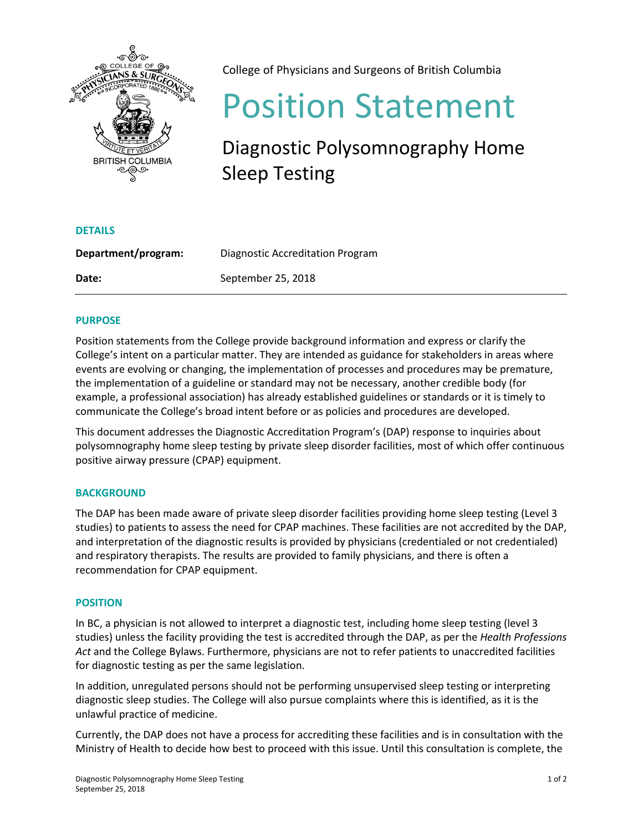

College of Physicians and Surgeons of British Columbia

# Position Statement

# Diagnostic Polysomnography Home Sleep Testing

| Department/program: | Diagnostic Accreditation Program |
|---------------------|----------------------------------|
| Date:               | September 25, 2018               |

# **PURPOSE**

**DETAILS**

Position statements from the College provide background information and express or clarify the College's intent on a particular matter. They are intended as guidance for stakeholders in areas where events are evolving or changing, the implementation of processes and procedures may be premature, the implementation of a guideline or standard may not be necessary, another credible body (for example, a professional association) has already established guidelines or standards or it is timely to communicate the College's broad intent before or as policies and procedures are developed.

This document addresses the Diagnostic Accreditation Program's (DAP) response to inquiries about polysomnography home sleep testing by private sleep disorder facilities, most of which offer continuous positive airway pressure (CPAP) equipment.

# **BACKGROUND**

The DAP has been made aware of private sleep disorder facilities providing home sleep testing (Level 3 studies) to patients to assess the need for CPAP machines. These facilities are not accredited by the DAP, and interpretation of the diagnostic results is provided by physicians (credentialed or not credentialed) and respiratory therapists. The results are provided to family physicians, and there is often a recommendation for CPAP equipment.

## **POSITION**

In BC, a physician is not allowed to interpret a diagnostic test, including home sleep testing (level 3 studies) unless the facility providing the test is accredited through the DAP, as per the *Health Professions Act* and the College Bylaws. Furthermore, physicians are not to refer patients to unaccredited facilities for diagnostic testing as per the same legislation.

In addition, unregulated persons should not be performing unsupervised sleep testing or interpreting diagnostic sleep studies. The College will also pursue complaints where this is identified, as it is the unlawful practice of medicine.

Currently, the DAP does not have a process for accrediting these facilities and is in consultation with the Ministry of Health to decide how best to proceed with this issue. Until this consultation is complete, the